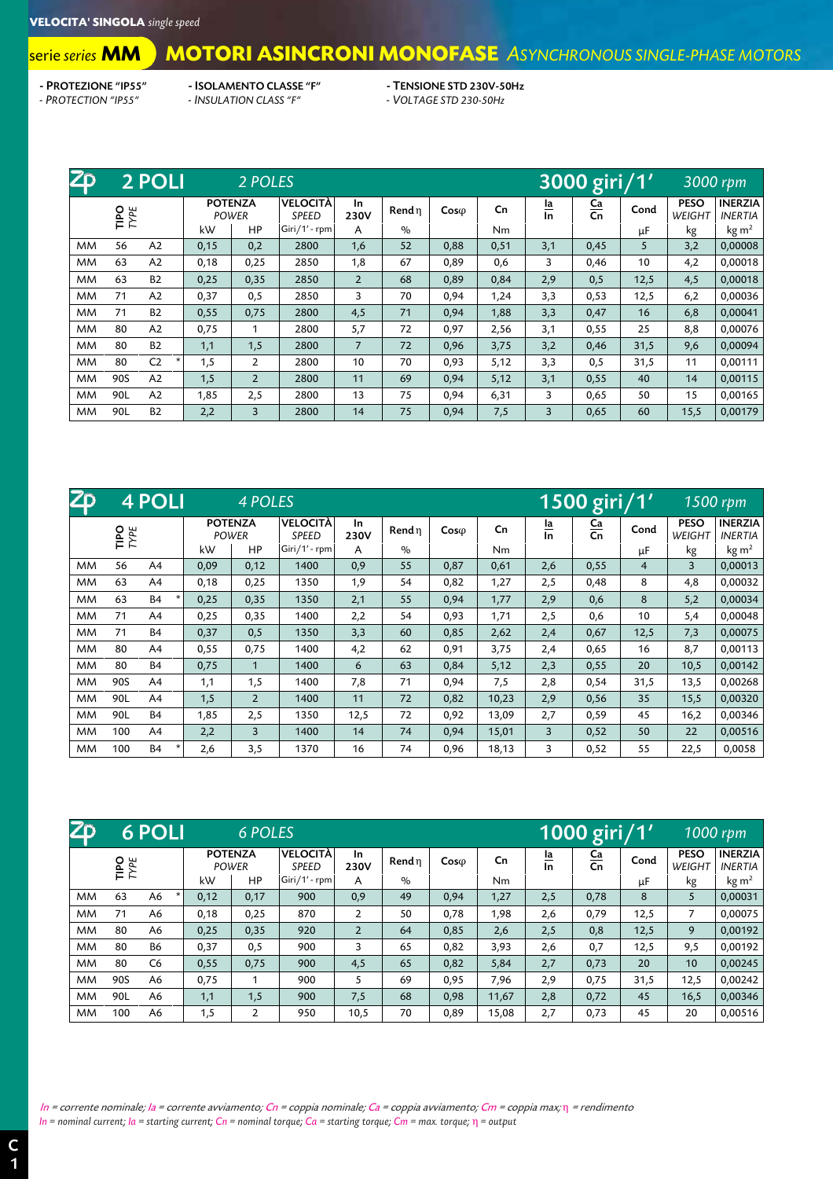## **MOTORI ASINCRONI MONOFASE** *ASYNCHRONOUS SINGLE-PHASE MOTORS* serie *series* **MM**

- PROTEZIONE "IP55" - ISOLAMENTO CLASSE "F" - TENSIONE STD 230V-50Hz<br>- PROTECTION "IP55" - INSULATION CLASS "F" - VOLTAGE STD 230-50Hz *- PROTECTION "IP55" - INSULATION CLASS "F" - VOLTAGE STD 230-50Hz*

| Z <sub>D</sub> | 2 POLI<br>2 POLES |                |          |      |                |               |                         |                          |            |        |              | 3000 giri/1' | 3000 rpm |               |                   |                       |                                  |
|----------------|-------------------|----------------|----------|------|----------------|---------------|-------------------------|--------------------------|------------|--------|--------------|--------------|----------|---------------|-------------------|-----------------------|----------------------------------|
|                | TIPO<br>TYPE      |                |          |      |                |               | <b>POTENZA</b><br>POWER | VELOCITÀ<br><b>SPEED</b> | In<br>230V | Rend n | $Cos\varphi$ | Cn           | la<br>In | $rac{Ca}{Cn}$ | Cond              | <b>PESO</b><br>WEIGHT | <b>INERZIA</b><br><b>INERTIA</b> |
|                |                   |                |          | kW   | HP             | Giri/1' - rpm | A                       | $\frac{0}{0}$            |            | Nm     |              |              | μF       | kg            | kg m <sup>2</sup> |                       |                                  |
| <b>MM</b>      | 56                | A2             |          | 0,15 | 0,2            | 2800          | 1,6                     | 52                       | 0,88       | 0,51   | 3,1          | 0,45         | 5        | 3,2           | 0,00008           |                       |                                  |
| <b>MM</b>      | 63                | A2             |          | 0,18 | 0,25           | 2850          | 1,8                     | 67                       | 0,89       | 0,6    | 3            | 0,46         | 10       | 4,2           | 0,00018           |                       |                                  |
| <b>MM</b>      | 63                | <b>B2</b>      |          | 0,25 | 0,35           | 2850          | $\overline{2}$          | 68                       | 0,89       | 0,84   | 2,9          | 0,5          | 12,5     | 4,5           | 0,00018           |                       |                                  |
| <b>MM</b>      | 71                | A2             |          | 0,37 | 0,5            | 2850          | 3                       | 70                       | 0,94       | 1,24   | 3,3          | 0,53         | 12,5     | 6,2           | 0,00036           |                       |                                  |
| <b>MM</b>      | 71                | <b>B2</b>      |          | 0,55 | 0,75           | 2800          | 4,5                     | 71                       | 0,94       | 1,88   | 3,3          | 0,47         | 16       | 6,8           | 0,00041           |                       |                                  |
| <b>MM</b>      | 80                | A2             |          | 0,75 |                | 2800          | 5,7                     | 72                       | 0,97       | 2,56   | 3,1          | 0,55         | 25       | 8,8           | 0,00076           |                       |                                  |
| <b>MM</b>      | 80                | <b>B2</b>      |          | 1,1  | 1,5            | 2800          | $\overline{7}$          | 72                       | 0,96       | 3,75   | 3,2          | 0,46         | 31,5     | 9,6           | 0,00094           |                       |                                  |
| <b>MM</b>      | 80                | C <sub>2</sub> | $^\star$ | 1,5  | $\overline{2}$ | 2800          | 10                      | 70                       | 0,93       | 5,12   | 3,3          | 0,5          | 31,5     | 11            | 0,00111           |                       |                                  |
| <b>MM</b>      | 90S               | A2             |          | 1,5  | $\overline{2}$ | 2800          | 11                      | 69                       | 0,94       | 5,12   | 3,1          | 0,55         | 40       | 14            | 0,00115           |                       |                                  |
| <b>MM</b>      | 90L               | A2             |          | 1,85 | 2,5            | 2800          | 13                      | 75                       | 0,94       | 6,31   | 3            | 0,65         | 50       | 15            | 0,00165           |                       |                                  |
| <b>MM</b>      | 90L               | <b>B2</b>      |          | 2,2  | 3              | 2800          | 14                      | 75                       | 0,94       | 7,5    | 3            | 0,65         | 60       | 15,5          | 0,00179           |                       |                                  |

| $\overline{2}D$ |                     | 4 POLI         |                                | 4 POLES        |                                 |            |        |              |       |          | 1500 giri/1'  |      |                       | $1500$ rpm                       |
|-----------------|---------------------|----------------|--------------------------------|----------------|---------------------------------|------------|--------|--------------|-------|----------|---------------|------|-----------------------|----------------------------------|
|                 | <b>TIPO</b><br>TYPE |                | <b>POTENZA</b><br><b>POWER</b> |                | <b>VELOCITÀ</b><br><b>SPEED</b> | In<br>230V | Rend n | $Cos\varphi$ | Cn    | la<br>In | $rac{Ca}{Cn}$ | Cond | <b>PESO</b><br>WEIGHT | <b>INERZIA</b><br><b>INERTIA</b> |
|                 |                     |                | kW                             | HP             | Giri/1' - rpm                   | A          | $\%$   |              | Nm    |          |               | μF   | kg                    | kg m <sup>2</sup>                |
| <b>MM</b>       | 56                  | A <sub>4</sub> | 0,09                           | 0,12           | 1400                            | 0,9        | 55     | 0,87         | 0,61  | 2,6      | 0,55          | 4    | 3                     | 0,00013                          |
| <b>MM</b>       | 63                  | A4             | 0,18                           | 0,25           | 1350                            | 1,9        | 54     | 0,82         | 1,27  | 2,5      | 0,48          | 8    | 4,8                   | 0,00032                          |
| <b>MM</b>       | 63                  | <b>B4</b>      | 0,25                           | 0,35           | 1350                            | 2,1        | 55     | 0,94         | 1,77  | 2,9      | 0,6           | 8    | 5,2                   | 0,00034                          |
| МM              | 71                  | A4             | 0,25                           | 0,35           | 1400                            | 2,2        | 54     | 0,93         | 1,71  | 2,5      | 0,6           | 10   | 5,4                   | 0,00048                          |
| <b>MM</b>       | 71                  | <b>B4</b>      | 0,37                           | 0,5            | 1350                            | 3,3        | 60     | 0,85         | 2,62  | 2,4      | 0,67          | 12,5 | 7,3                   | 0,00075                          |
| <b>MM</b>       | 80                  | A4             | 0,55                           | 0,75           | 1400                            | 4,2        | 62     | 0,91         | 3,75  | 2,4      | 0,65          | 16   | 8,7                   | 0,00113                          |
| <b>MM</b>       | 80                  | <b>B4</b>      | 0,75                           | $\mathbf{1}$   | 1400                            | 6          | 63     | 0,84         | 5,12  | 2,3      | 0,55          | 20   | 10,5                  | 0,00142                          |
| <b>MM</b>       | 90S                 | A4             | 1,1                            | 1,5            | 1400                            | 7,8        | 71     | 0,94         | 7,5   | 2,8      | 0,54          | 31,5 | 13,5                  | 0,00268                          |
| <b>MM</b>       | 90L                 | A4             | 1,5                            | $\overline{2}$ | 1400                            | 11         | 72     | 0,82         | 10,23 | 2,9      | 0,56          | 35   | 15,5                  | 0,00320                          |
| <b>MM</b>       | 90L                 | <b>B4</b>      | 1,85                           | 2,5            | 1350                            | 12,5       | 72     | 0,92         | 13,09 | 2,7      | 0,59          | 45   | 16,2                  | 0,00346                          |
| <b>MM</b>       | 100                 | A4             | 2,2                            | 3              | 1400                            | 14         | 74     | 0,94         | 15,01 | 3        | 0,52          | 50   | 22                    | 0,00516                          |
| <b>MM</b>       | 100                 | <b>B4</b>      | 2,6                            | 3,5            | 1370                            | 16         | 74     | 0,96         | 18,13 | 3        | 0,52          | 55   | 22,5                  | 0,0058                           |

| $\overline{Z}$ | <b>6 POLI</b>       |                |  |      | <b>6 POLES</b>          |                                 |                |               |              | 1000 giri/1'   |                 |               |      | $1000$ rpm                   |                                  |
|----------------|---------------------|----------------|--|------|-------------------------|---------------------------------|----------------|---------------|--------------|----------------|-----------------|---------------|------|------------------------------|----------------------------------|
|                | <b>TIPO</b><br>TYPE |                |  |      | <b>POTENZA</b><br>POWER | <b>VELOCITÀ</b><br><b>SPEED</b> | In<br>230V     | Rend n        | $Cos\varphi$ | C <sub>n</sub> | <u>la</u><br>In | $rac{Ca}{Cn}$ | Cond | <b>PESO</b><br><b>WEIGHT</b> | <b>INERZIA</b><br><b>INERTIA</b> |
|                |                     |                |  | kW   | HP                      | Giri/1' - rpm                   | A              | $\frac{0}{0}$ |              | Nm             |                 |               | μF   | kg                           | kg m <sup>2</sup>                |
| <b>MM</b>      | 63                  | A6             |  | 0,12 | 0,17                    | 900                             | 0,9            | 49            | 0,94         | 1,27           | 2,5             | 0,78          | 8    | 5                            | 0.00031                          |
| <b>MM</b>      | 71                  | A6             |  | 0,18 | 0,25                    | 870                             | $\overline{2}$ | 50            | 0,78         | 1,98           | 2,6             | 0,79          | 12,5 | 7                            | 0,00075                          |
| <b>MM</b>      | 80                  | A6             |  | 0,25 | 0,35                    | 920                             | $\overline{2}$ | 64            | 0,85         | 2,6            | 2,5             | 0,8           | 12,5 | 9                            | 0,00192                          |
| <b>MM</b>      | 80                  | <b>B6</b>      |  | 0,37 | 0,5                     | 900                             | 3              | 65            | 0,82         | 3,93           | 2,6             | 0,7           | 12,5 | 9,5                          | 0,00192                          |
| <b>MM</b>      | 80                  | C <sub>6</sub> |  | 0,55 | 0,75                    | 900                             | 4,5            | 65            | 0,82         | 5,84           | 2,7             | 0,73          | 20   | 10                           | 0,00245                          |
| <b>MM</b>      | 90S                 | A6             |  | 0,75 |                         | 900                             | 5              | 69            | 0,95         | 7,96           | 2,9             | 0,75          | 31,5 | 12,5                         | 0,00242                          |
| <b>MM</b>      | 90L                 | A6             |  | 1,1  | 1,5                     | 900                             | 7,5            | 68            | 0,98         | 11,67          | 2,8             | 0,72          | 45   | 16,5                         | 0,00346                          |
| <b>MM</b>      | 100                 | A6             |  | 1,5  | $\overline{2}$          | 950                             | 10,5           | 70            | 0,89         | 15,08          | 2,7             | 0,73          | 45   | 20                           | 0,00516                          |

In = corrente nominale; Ia = corrente avviamento; Cn = coppia nominale; Ca = coppia avviamento; Cm = coppia max; η = rendimento *In = nominal current; Ia = starting current; Cn = nominal torque; Ca = starting torque; Cm = max. torque;* η *= output*